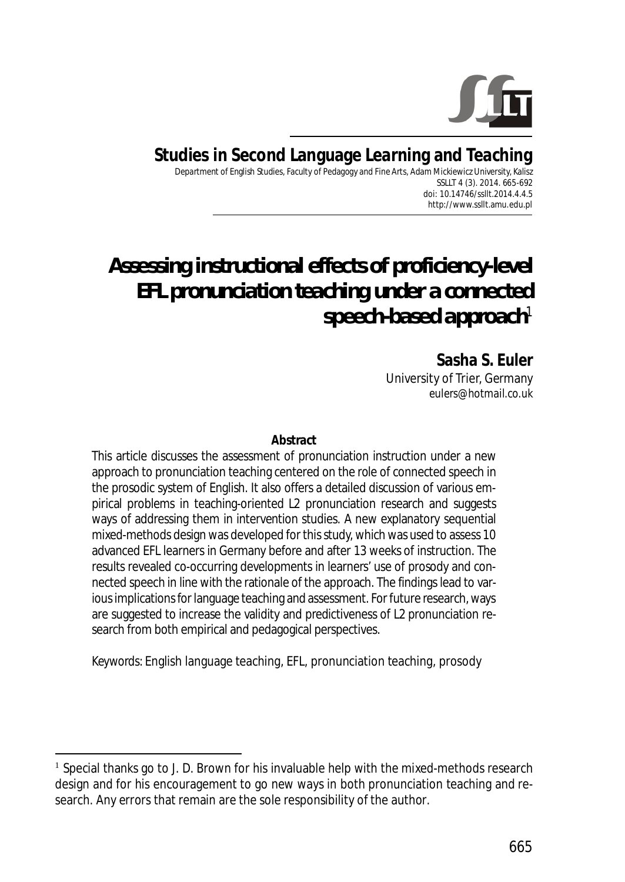

# **Studies in Second Language Learning and Teaching**

Department of English Studies, Faculty of Pedagogy and Fine Arts, Adam Mickiewicz University, Kalisz SSLLT 4 (3). 2014. 665-692 *doi: 10.14746/ssllt.2014.4.4.5* http://www.ssllt.amu.edu.pl

# *Assessing instructional effects of proficiency-level EFL pronunciation teaching under a connected speech-based approach*<sup>1</sup>

**Sasha S. Euler** University of Trier, Germany *eulers@hotmail.co.uk*

#### **Abstract**

This article discusses the assessment of pronunciation instruction under a new approach to pronunciation teaching centered on the role of connected speech in the prosodic system of English. It also offers a detailed discussion of various empirical problems in teaching-oriented L2 pronunciation research and suggests ways of addressing them in intervention studies. A new explanatory sequential mixed-methods design was developed for this study, which was used to assess 10 advanced EFL learners in Germany before and after 13 weeks of instruction. The results revealed co-occurring developments in learners' use of prosody and connected speech in line with the rationale of the approach. The findings lead to various implications for language teaching and assessment. For future research, ways are suggested to increase the validity and predictiveness of L2 pronunciation research from both empirical and pedagogical perspectives.

*Keywords*: English language teaching, EFL, pronunciation teaching, prosody

<sup>&</sup>lt;sup>1</sup> Special thanks go to J. D. Brown for his invaluable help with the mixed-methods research design and for his encouragement to go new ways in both pronunciation teaching and research. Any errors that remain are the sole responsibility of the author.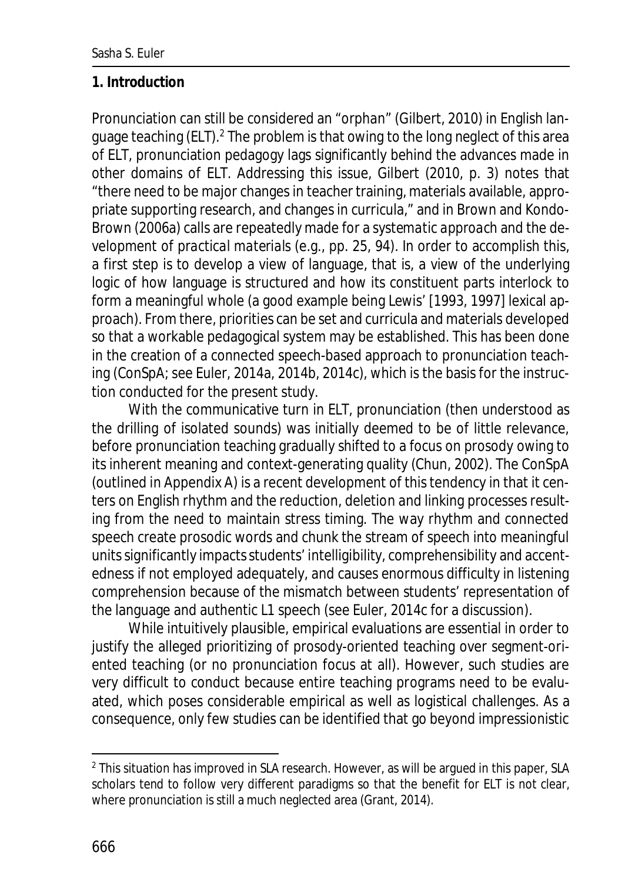#### **1. Introduction**

Pronunciation can still be considered an "orphan" (Gilbert, 2010) in English language teaching (ELT).<sup>2</sup> The problem is that owing to the long neglect of this area of ELT, pronunciation pedagogy lags significantly behind the advances made in other domains of ELT. Addressing this issue, Gilbert (2010, p. 3) notes that "there need to be major changes in teacher training, materials available, appropriate supporting research, and changes in curricula," and in Brown and Kondo-Brown (2006a) calls are repeatedly made for a *systematic approach* and the development of *practical materials* (e.g., pp. 25, 94). In order to accomplish this, a first step is to develop a view of language, that is, a view of the underlying logic of how language is structured and how its constituent parts interlock to form a meaningful whole (a good example being Lewis' [1993, 1997] lexical approach). From there, priorities can be set and curricula and materials developed so that a workable pedagogical system may be established. This has been done in the creation of a connected speech-based approach to pronunciation teaching (ConSpA; see Euler, 2014a, 2014b, 2014c), which is the basis for the instruction conducted for the present study.

With the communicative turn in ELT, pronunciation (then understood as the drilling of isolated sounds) was initially deemed to be of little relevance, before pronunciation teaching gradually shifted to a focus on prosody owing to its inherent meaning and context-generating quality (Chun, 2002). The ConSpA (outlined in Appendix A) is a recent development of this tendency in that it centers on English rhythm and the reduction, deletion and linking processes resulting from the need to maintain stress timing. The way rhythm and connected speech create prosodic words and chunk the stream of speech into meaningful units significantly impacts students' intelligibility, comprehensibility and accentedness if not employed adequately, and causes enormous difficulty in listening comprehension because of the mismatch between students' representation of the language and authentic L1 speech (see Euler, 2014c for a discussion).

While intuitively plausible, empirical evaluations are essential in order to justify the alleged prioritizing of prosody-oriented teaching over segment-oriented teaching (or no pronunciation focus at all). However, such studies are very difficult to conduct because entire teaching programs need to be evaluated, which poses considerable empirical as well as logistical challenges. As a consequence, only few studies can be identified that go beyond impressionistic

 $^{\text{2}}$  This situation has improved in SLA research. However, as will be argued in this paper, SLA scholars tend to follow very different paradigms so that the benefit for ELT is not clear, where pronunciation is still a much neglected area (Grant, 2014).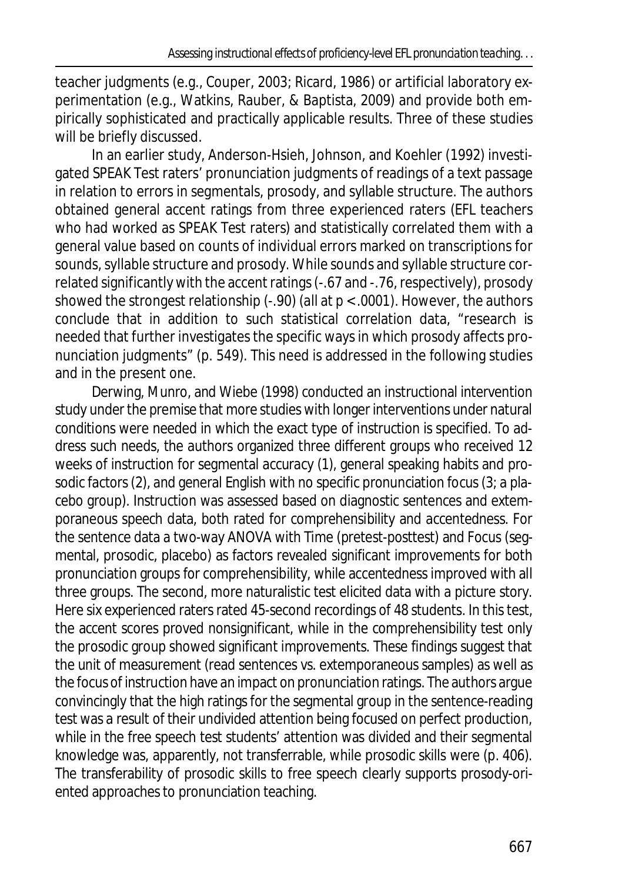teacher judgments (e.g., Couper, 2003; Ricard, 1986) or artificial laboratory experimentation (e.g., Watkins, Rauber, & Baptista, 2009) and provide *both* empirically sophisticated and practically applicable results. Three of these studies will be briefly discussed.

In an earlier study, Anderson-Hsieh, Johnson, and Koehler (1992) investigated SPEAK Test raters' pronunciation judgments of readings of a text passage in relation to errors in segmentals, prosody, and syllable structure. The authors obtained general accent ratings from three experienced raters (EFL teachers who had worked as SPEAK Test raters) and statistically correlated them with a general value based on counts of individual errors marked on transcriptions for sounds, syllable structure and prosody. While sounds and syllable structure correlated significantly with the accent ratings (-.67 and -.76, respectively), prosody showed the strongest relationship (-.90) (all at  $p < .0001$ ). However, the authors conclude that in addition to such statistical correlation data, "research is needed that further investigates the specific ways in which prosody affects pronunciation judgments" (p. 549). This need is addressed in the following studies and in the present one.

Derwing, Munro, and Wiebe (1998) conducted an instructional intervention study under the premise that more studies with longer interventions under natural conditions were needed in which the exact type of instruction is specified. To address such needs, the authors organized three different groups who received 12 weeks of instruction for segmental accuracy (1), general speaking habits and prosodic factors (2), and general English with no specific pronunciation focus (3; a placebo group). Instruction was assessed based on diagnostic sentences and extemporaneous speech data, both rated for comprehensibility and accentedness. For the sentence data a two-way ANOVA with Time (pretest-posttest) and Focus (segmental, prosodic, placebo) as factors revealed significant improvements for both pronunciation groups for comprehensibility, while accentedness improved with all three groups. The second, more naturalistic test elicited data with a picture story. Here six experienced raters rated 45-second recordings of 48 students. In this test, the accent scores proved nonsignificant, while in the comprehensibility test only the prosodic group showed significant improvements. These findings suggest that the unit of measurement (read sentences vs. extemporaneous samples) as well as the focus of instruction have an impact on pronunciation ratings. The authors argue convincingly that the high ratings for the segmental group in the sentence-reading test was a result of their undivided attention being focused on perfect production, while in the free speech test students' attention was divided and their segmental knowledge was, apparently, not transferrable, while prosodic skills were (p. 406). The transferability of prosodic skills to free speech clearly supports prosody-oriented approaches to pronunciation teaching.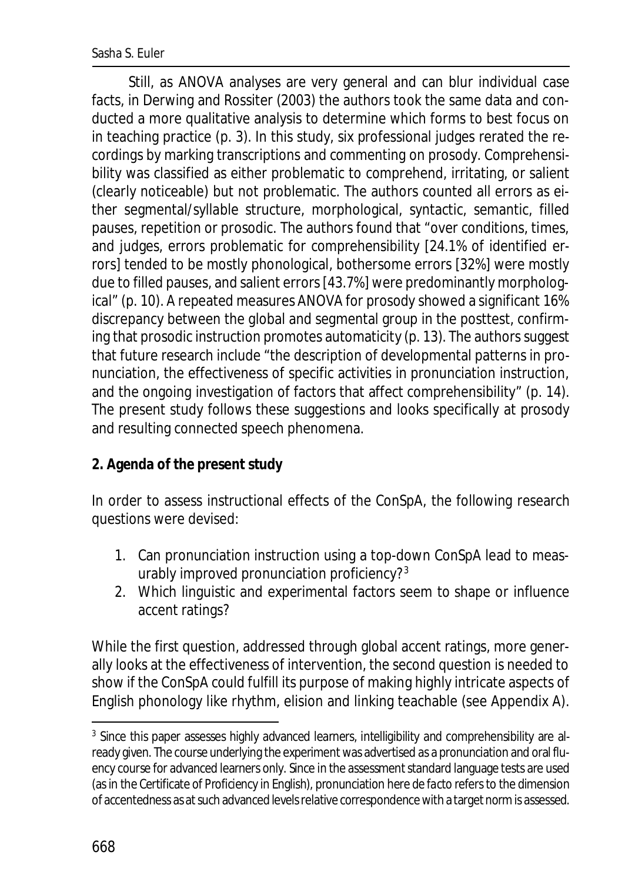Still, as ANOVA analyses are very general and can blur individual case facts, in Derwing and Rossiter (2003) the authors took the same data and conducted a more qualitative analysis to determine which forms to best focus on in teaching practice (p. 3). In this study, six professional judges rerated the recordings by marking transcriptions and commenting on prosody. Comprehensibility was classified as either problematic to comprehend, irritating, or salient (clearly noticeable) but not problematic. The authors counted all errors as either segmental/syllable structure, morphological, syntactic, semantic, filled pauses, repetition or prosodic. The authors found that "over conditions, times, and judges, errors problematic for comprehensibility [24.1% of identified errors] tended to be mostly phonological, bothersome errors [32%] were mostly due to filled pauses, and salient errors [43.7%] were predominantly morphological" (p. 10). A repeated measures ANOVA for prosody showed a significant 16% discrepancy between the global and segmental group in the posttest, confirming that prosodic instruction promotes automaticity (p. 13). The authors suggest that future research include "the description of developmental patterns in pronunciation, the effectiveness of specific activities in pronunciation instruction, and the ongoing investigation of factors that affect comprehensibility" (p. 14). The present study follows these suggestions and looks specifically at prosody and resulting connected speech phenomena.

### **2. Agenda of the present study**

In order to assess instructional effects of the ConSpA, the following research questions were devised:

- 1. Can pronunciation instruction using a top-down ConSpA lead to measurably improved pronunciation proficiency?<sup>3</sup>
- 2. Which linguistic and experimental factors seem to shape or influence accent ratings?

While the first question, addressed through global accent ratings, more generally looks at the effectiveness of intervention, the second question is needed to show if the ConSpA could fulfill its purpose of making highly intricate aspects of English phonology like rhythm, elision and linking teachable (see Appendix A).

<sup>&</sup>lt;sup>3</sup> Since this paper assesses highly advanced learners, intelligibility and comprehensibility are already given. The course underlying the experiment was advertised as a pronunciation and oral fluency course for advanced learners only. Since in the assessment standard language tests are used (as in the Certificate of *Proficiency* in English), pronunciation here *de facto* refers to the dimension of accentedness as at such advanced levels relative correspondence with a target norm is assessed.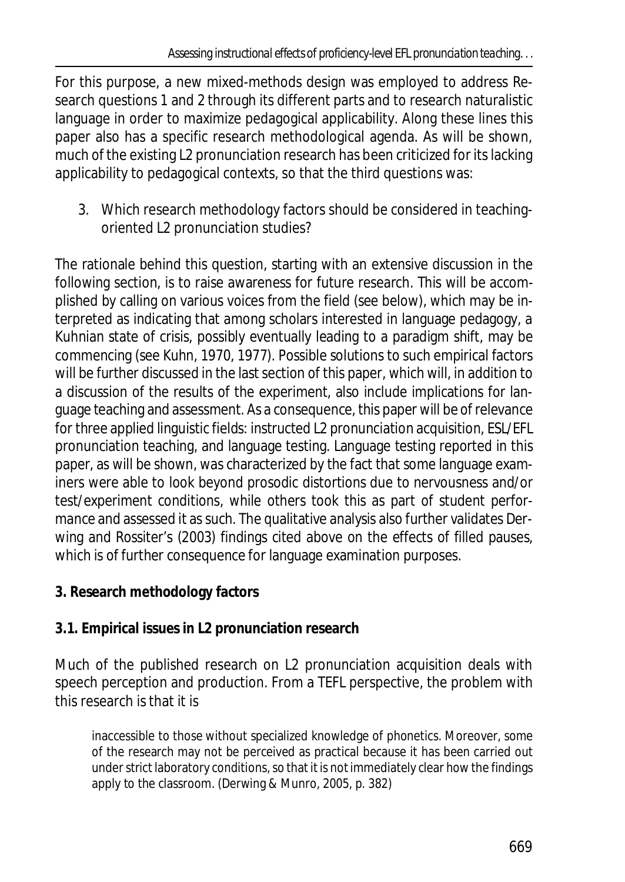For this purpose, a new mixed-methods design was employed to address Research questions 1 and 2 through its different parts and to research naturalistic language in order to maximize pedagogical applicability. Along these lines this paper also has a specific research methodological agenda. As will be shown, much of the existing L2 pronunciation research has been criticized for its lacking applicability to pedagogical contexts, so that the third questions was:

3. Which research methodology factors should be considered in teachingoriented L2 pronunciation studies?

The rationale behind this question, starting with an extensive discussion in the following section, is to raise awareness for future research. This will be accomplished by calling on various voices from the field (see below), which may be interpreted as indicating that among scholars interested in language pedagogy, a Kuhnian state of crisis, possibly eventually leading to a paradigm shift, may be commencing (see Kuhn, 1970, 1977). Possible solutions to such empirical factors will be further discussed in the last section of this paper, which will, in addition to a discussion of the results of the experiment, also include implications for language teaching and assessment. As a consequence, this paper will be of relevance for three applied linguistic fields: instructed L2 pronunciation acquisition, ESL/EFL pronunciation teaching, and language testing. Language testing reported in this paper, as will be shown, was characterized by the fact that some language examiners were able to look beyond prosodic distortions due to nervousness and/or test/experiment conditions, while others took this as part of student performance and assessed it as such. The qualitative analysis also further validates Derwing and Rossiter's (2003) findings cited above on the effects of filled pauses, which is of further consequence for language examination purposes.

**3. Research methodology factors**

# **3.1. Empirical issues in L2 pronunciation research**

Much of the published research on L2 pronunciation acquisition deals with speech perception and production. From a TEFL perspective, the problem with this research is that it is

inaccessible to those without specialized knowledge of phonetics. Moreover, some of the research may not be perceived as practical because it has been carried out under strict laboratory conditions, so that it is not immediately clear how the findings apply to the classroom. (Derwing & Munro, 2005, p. 382)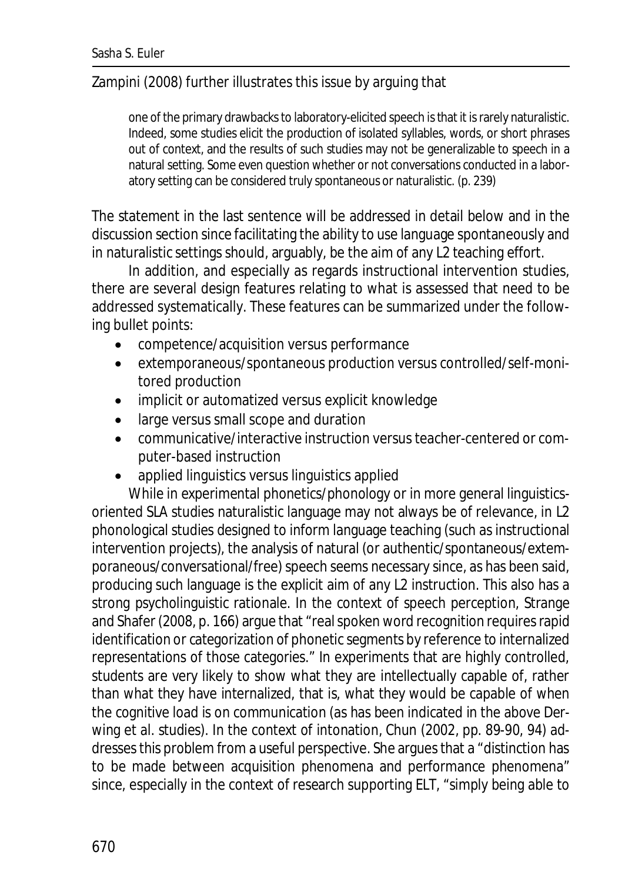### Zampini (2008) further illustrates this issue by arguing that

one of the primary drawbacks to laboratory-elicited speech is that it is rarely naturalistic. Indeed, some studies elicit the production of isolated syllables, words, or short phrases out of context, and the results of such studies may not be generalizable to speech in a natural setting. Some even question whether or not conversations conducted in a laboratory setting can be considered truly spontaneous or naturalistic. (p. 239)

The statement in the last sentence will be addressed in detail below and in the discussion section since facilitating the ability to use language spontaneously and in naturalistic settings should, arguably, be the aim of any L2 teaching effort.

In addition, and especially as regards instructional intervention studies, there are several design features relating to what is assessed that need to be addressed systematically. These features can be summarized under the following bullet points:

- · competence/acquisition versus performance
- · extemporaneous/spontaneous production versus controlled/self-monitored production
- · implicit or automatized versus explicit knowledge
- · large versus small scope and duration
- · communicative/interactive instruction versus teacher-centered or computer-based instruction
- applied linguistics versus linguistics applied

While in experimental phonetics/phonology or in more general linguisticsoriented SLA studies naturalistic language may not always be of relevance, in L2 phonological studies designed to inform language teaching (such as instructional intervention projects), the analysis of natural (or authentic/spontaneous/extemporaneous/conversational/free) speech seems necessary since, as has been said, producing such language is the explicit aim of any L2 instruction. This also has a strong psycholinguistic rationale. In the context of speech perception, Strange and Shafer (2008, p. 166) argue that "real spoken word recognition requires rapid identification or categorization of phonetic segments by reference to internalized representations of those categories." In experiments that are highly controlled, students are very likely to show what they are intellectually capable of, rather than what they have internalized, that is, what they would be capable of when the cognitive load is on communication (as has been indicated in the above Derwing et al. studies). In the context of intonation, Chun (2002, pp. 89-90, 94) addresses this problem from a useful perspective. She argues that a "distinction has to be made between acquisition phenomena and performance phenomena" since, especially in the context of research supporting ELT, "simply being able to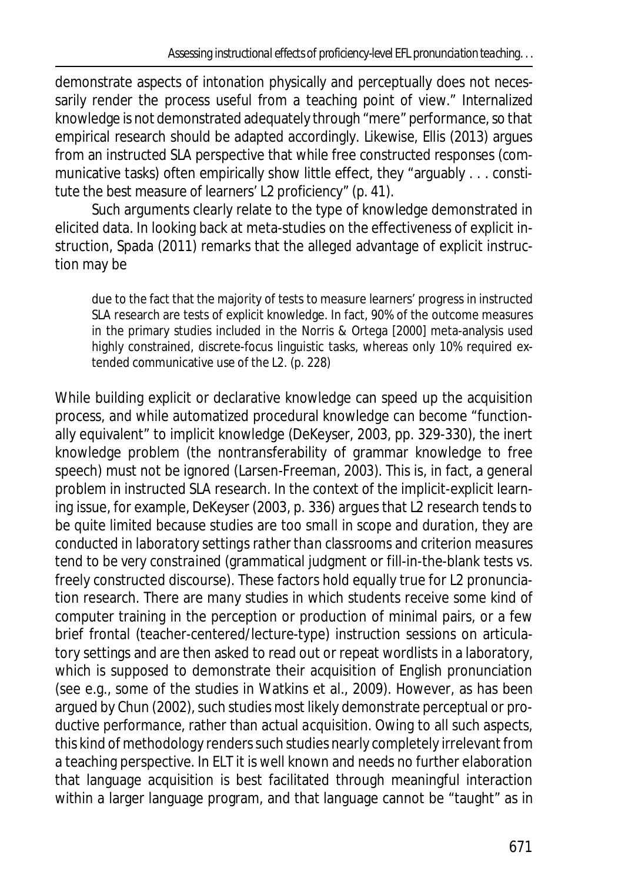demonstrate aspects of intonation physically and perceptually does not necessarily render the process useful from a teaching point of view." Internalized knowledge is not demonstrated adequately through "mere" performance, so that empirical research should be adapted accordingly. Likewise, Ellis (2013) argues from an instructed SLA perspective that while free constructed responses (communicative tasks) often empirically show little effect, they "arguably . . . constitute the best measure of learners' L2 proficiency" (p. 41).

Such arguments clearly relate to the type of knowledge demonstrated in elicited data. In looking back at meta-studies on the effectiveness of explicit instruction, Spada (2011) remarks that the alleged advantage of explicit instruction may be

due to the fact that the majority of tests to measure learners' progress in instructed SLA research are tests of explicit knowledge. In fact, 90% of the outcome measures in the primary studies included in the Norris & Ortega [2000] meta-analysis used highly constrained, discrete-focus linguistic tasks, whereas only 10% required extended communicative use of the L2. (p. 228)

While building explicit or declarative knowledge can speed up the acquisition process, and while automatized procedural knowledge *can* become "functionally equivalent" to implicit knowledge (DeKeyser, 2003, pp. 329-330), the inert knowledge problem (the nontransferability of grammar knowledge to free speech) must not be ignored (Larsen-Freeman, 2003). This is, in fact, a general problem in instructed SLA research. In the context of the implicit-explicit learning issue, for example, DeKeyser (2003, p. 336) argues that L2 research tends to be quite limited because studies are *too small in scope and duration*, they are *conducted in laboratory settings rather than classrooms* and *criterion measures tend to be very constrained* (grammatical judgment or fill-in-the-blank tests vs. freely constructed discourse). These factors hold equally true for L2 pronunciation research. There are many studies in which students receive some kind of computer training in the perception or production of minimal pairs, or a few brief frontal (teacher-centered/lecture-type) instruction sessions on articulatory settings and are then asked to read out or repeat wordlists in a laboratory, which is supposed to demonstrate their acquisition of English pronunciation (see e.g., some of the studies in Watkins et al., 2009). However, as has been argued by Chun (2002), such studies most likely demonstrate perceptual or productive *performance*, rather than actual *acquisition*. Owing to all such aspects, this kind of methodology renders such studies nearly completely irrelevant from a teaching perspective. In ELT it is well known and needs no further elaboration that language acquisition is best facilitated through meaningful interaction within a larger language program, and that language cannot be "taught" as in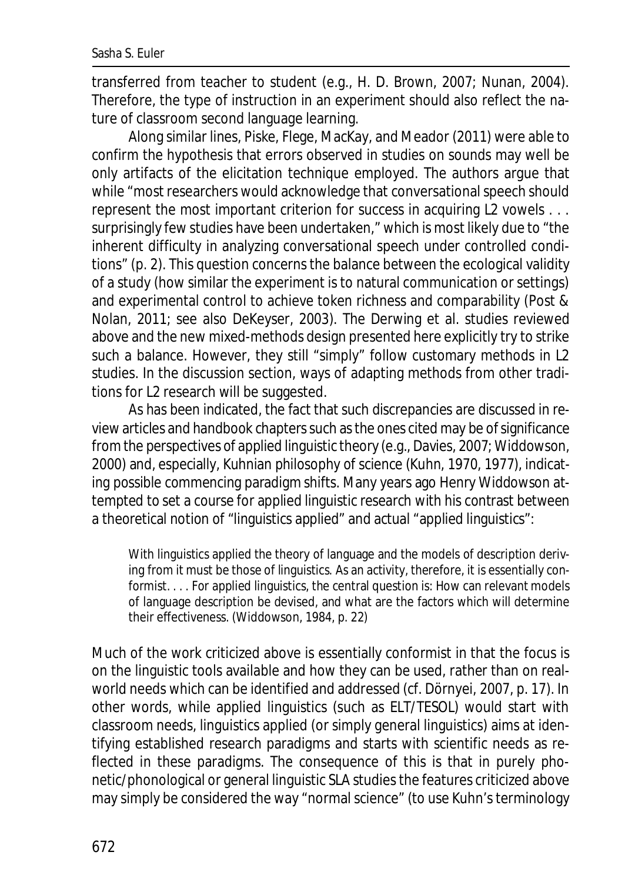transferred from teacher to student (e.g., H. D. Brown, 2007; Nunan, 2004). Therefore, the type of instruction in an experiment should also reflect the nature of classroom second language learning.

Along similar lines, Piske, Flege, MacKay, and Meador (2011) were able to confirm the hypothesis that errors observed in studies on sounds may well be only artifacts of the elicitation technique employed. The authors argue that while "most researchers would acknowledge that conversational speech should represent the most important criterion for success in acquiring L2 vowels . . . surprisingly few studies have been undertaken," which is most likely due to "the inherent difficulty in analyzing conversational speech under controlled conditions" (p. 2). This question concerns the balance between the ecological validity of a study (how similar the experiment is to natural communication or settings) and experimental control to achieve token richness and comparability (Post & Nolan, 2011; see also DeKeyser, 2003). The Derwing et al. studies reviewed above and the new mixed-methods design presented here explicitly try to strike such a balance. However, they still "simply" follow customary methods in L2 studies. In the discussion section, ways of adapting methods from other traditions for L2 research will be suggested.

As has been indicated, the fact that such discrepancies are discussed in review articles and handbook chapters such as the ones cited may be of significance from the perspectives of applied linguistic theory (e.g., Davies, 2007; Widdowson, 2000) and, especially, Kuhnian philosophy of science (Kuhn, 1970, 1977), indicating possible commencing paradigm shifts. Many years ago Henry Widdowson attempted to set a course for applied linguistic research with his contrast between a theoretical notion of "linguistics applied" and actual "applied linguistics":

With linguistics applied the theory of language and the models of description deriving from it must be those of linguistics. As an activity, therefore, it is essentially conformist. . . . For applied linguistics, the central question is: How can relevant models of language description be devised, and what are the factors which will determine their effectiveness. (Widdowson, 1984, p. 22)

Much of the work criticized above is essentially conformist in that the focus is on the linguistic tools available and how they can be used, rather than on realworld needs which can be identified and addressed (cf. Dörnyei, 2007, p. 17). In other words, while applied linguistics (such as ELT/TESOL) would start with classroom needs, linguistics applied (or simply general linguistics) aims at identifying established research paradigms and starts with scientific needs as reflected in these paradigms. The consequence of this is that in purely phonetic/phonological or general linguistic SLA studies the features criticized above may simply be considered the way "normal science" (to use Kuhn's terminology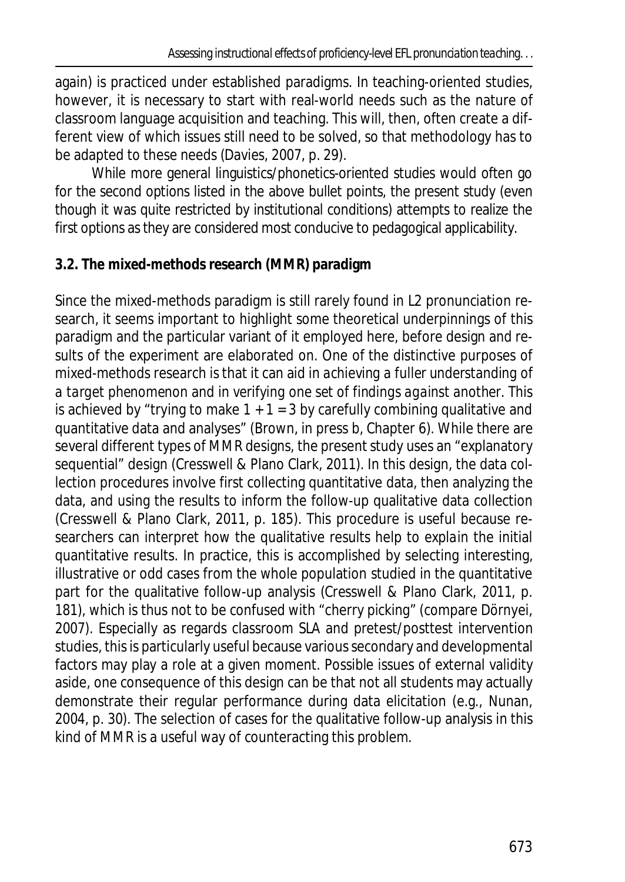again) is practiced under established paradigms. In teaching-oriented studies, however, it is necessary to start with real-world needs such as the nature of classroom language acquisition and teaching. This will, then, often create a different view of which issues still need to be solved, so that methodology has to be adapted to these needs (Davies, 2007, p. 29).

While more general linguistics/phonetics-oriented studies would often go for the second options listed in the above bullet points, the present study (even though it was quite restricted by institutional conditions) attempts to realize the first options as they are considered most conducive to pedagogical applicability.

## **3.2. The mixed-methods research (MMR) paradigm**

Since the mixed-methods paradigm is still rarely found in L2 pronunciation research, it seems important to highlight some theoretical underpinnings of this paradigm and the particular variant of it employed here, before design and results of the experiment are elaborated on. One of the distinctive purposes of mixed-methods research is that it can aid in *achieving a fuller understanding of a target phenomenon* and in *verifying one set of findings against another*. This is achieved by "trying to make  $1 + 1 = 3$  by carefully combining qualitative and quantitative data and analyses" (Brown, in press b, Chapter 6). While there are several different types of MMR designs, the present study uses an "explanatory sequential" design (Cresswell & Plano Clark, 2011). In this design, the data collection procedures involve first collecting quantitative data, then analyzing the data, and using the results to inform the follow-up qualitative data collection (Cresswell & Plano Clark, 2011, p. 185). This procedure is useful because researchers can interpret how the qualitative results help to *explain* the initial quantitative results. In practice, this is accomplished by selecting interesting, illustrative or odd cases from the whole population studied in the quantitative part for the qualitative follow-up analysis (Cresswell & Plano Clark, 2011, p. 181), which is thus not to be confused with "cherry picking" (compare Dörnyei, 2007). Especially as regards classroom SLA and pretest/posttest intervention studies, this is particularly useful because various secondary and developmental factors may play a role at a given moment. Possible issues of external validity aside, one consequence of this design can be that not all students may actually demonstrate their regular performance during data elicitation (e.g., Nunan, 2004, p. 30). The selection of cases for the qualitative follow-up analysis in this kind of MMR is a useful way of counteracting this problem.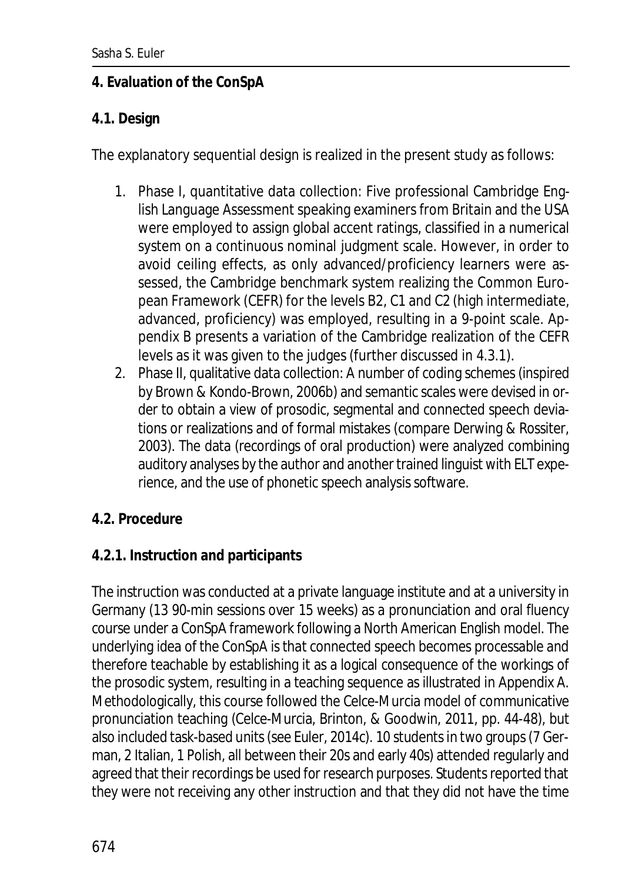### **4. Evaluation of the ConSpA**

### **4.1. Design**

The explanatory sequential design is realized in the present study as follows:

- 1. Phase I, quantitative data collection: Five professional Cambridge English Language Assessment speaking examiners from Britain and the USA were employed to assign global accent ratings, classified in a numerical system on a continuous nominal judgment scale. However, in order to avoid ceiling effects, as only advanced/proficiency learners were assessed, the Cambridge benchmark system realizing the Common European Framework (CEFR) for the levels B2, C1 and C2 (high intermediate, advanced, proficiency) was employed, resulting in a 9-point scale. Appendix B presents a variation of the Cambridge realization of the CEFR levels as it was given to the judges (further discussed in 4.3.1).
- 2. Phase II, qualitative data collection: A number of coding schemes (inspired by Brown & Kondo-Brown, 2006b) and semantic scales were devised in order to obtain a view of prosodic, segmental and connected speech deviations or realizations and of formal mistakes (compare Derwing & Rossiter, 2003). The data (recordings of oral production) were analyzed combining auditory analyses by the author and another trained linguist with ELT experience, and the use of phonetic speech analysis software.
- **4.2. Procedure**
- **4.2.1. Instruction and participants**

The instruction was conducted at a private language institute and at a university in Germany (13 90-min sessions over 15 weeks) as a pronunciation and oral fluency course under a ConSpA framework following a North American English model. The underlying idea of the ConSpA is that connected speech becomes processable and therefore teachable by establishing it as a logical consequence of the workings of the prosodic system, resulting in a teaching sequence as illustrated in Appendix A. Methodologically, this course followed the Celce-Murcia model of communicative pronunciation teaching (Celce-Murcia, Brinton, & Goodwin, 2011, pp. 44-48), but also included task-based units (see Euler, 2014c). 10 students in two groups (7 German, 2 Italian, 1 Polish, all between their 20s and early 40s) attended regularly and agreed that their recordings be used for research purposes. Students reported that they were not receiving any other instruction and that they did not have the time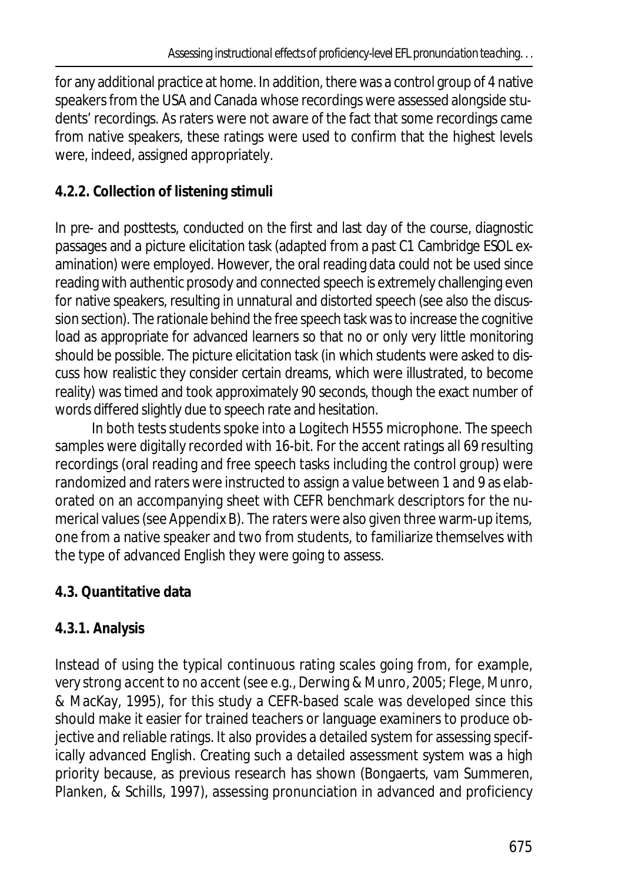for any additional practice at home. In addition, there was a control group of 4 native speakers from the USA and Canada whose recordings were assessed alongside students' recordings. As raters were not aware of the fact that some recordings came from native speakers, these ratings were used to confirm that the highest levels were, indeed, assigned appropriately.

# **4.2.2. Collection of listening stimuli**

In pre- and posttests, conducted on the first and last day of the course, diagnostic passages and a picture elicitation task (adapted from a past C1 Cambridge ESOL examination) were employed. However, the oral reading data could not be used since reading with authentic prosody and connected speech is extremely challenging even for native speakers, resulting in unnatural and distorted speech (see also the discussion section). The rationale behind the free speech task was to increase the cognitive load as appropriate for advanced learners so that no or only very little monitoring should be possible. The picture elicitation task (in which students were asked to discuss how realistic they consider certain dreams, which were illustrated, to become reality) was timed and took approximately 90 seconds, though the exact number of words differed slightly due to speech rate and hesitation.

In both tests students spoke into a Logitech H555 microphone. The speech samples were digitally recorded with 16-bit. For the accent ratings all 69 resulting recordings (oral reading and free speech tasks including the control group) were randomized and raters were instructed to assign a value between 1 and 9 as elaborated on an accompanying sheet with CEFR benchmark descriptors for the numerical values (see Appendix B). The raters were also given three warm-up items, one from a native speaker and two from students, to familiarize themselves with the type of advanced English they were going to assess.

# **4.3. Quantitative data**

# **4.3.1. Analysis**

Instead of using the typical continuous rating scales going from, for example, *very strong accent* to *no accent* (see e.g., Derwing & Munro, 2005; Flege, Munro, & MacKay, 1995), for this study a CEFR-based scale was developed since this should make it easier for trained teachers or language examiners to produce objective and reliable ratings. It also provides a detailed system for assessing specifically advanced English. Creating such a detailed assessment system was a high priority because, as previous research has shown (Bongaerts, vam Summeren, Planken, & Schills, 1997), assessing pronunciation in advanced and proficiency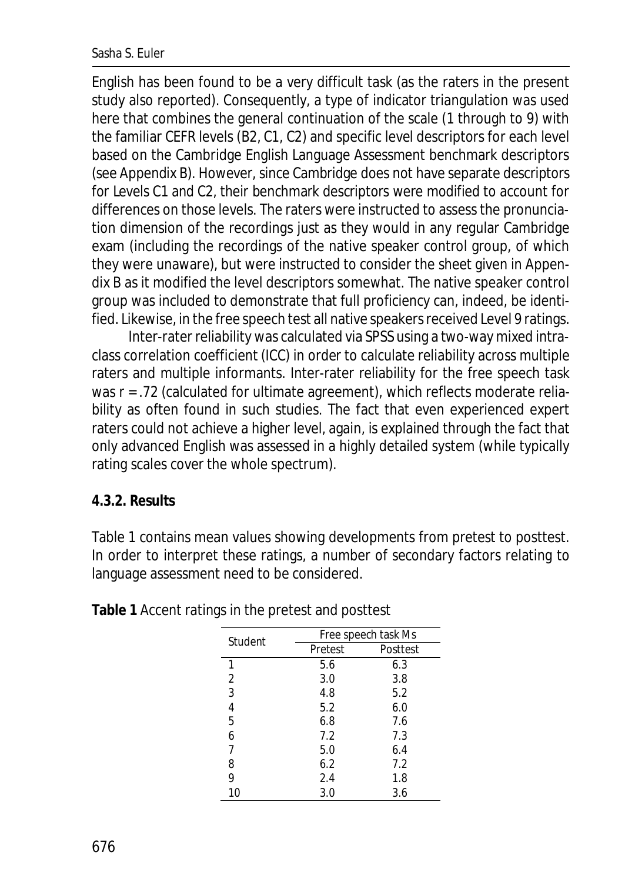#### Sasha S. Euler

English has been found to be a very difficult task (as the raters in the present study also reported). Consequently, a type of indicator triangulation was used here that combines the general continuation of the scale (1 through to 9) with the familiar CEFR levels (B2, C1, C2) and specific level descriptors for each level based on the Cambridge English Language Assessment benchmark descriptors (see Appendix B). However, since Cambridge does not have separate descriptors for Levels C1 and C2, their benchmark descriptors were modified to account for differences on those levels. The raters were instructed to assess the pronunciation dimension of the recordings just as they would in any regular Cambridge exam (including the recordings of the native speaker control group, of which they were unaware), but were instructed to consider the sheet given in Appendix B as it modified the level descriptors somewhat. The native speaker control group was included to demonstrate that full proficiency can, indeed, be identified. Likewise, in the free speech test all native speakers received Level 9 ratings.

Inter-rater reliability was calculated via SPSS using a two-way mixed intraclass correlation coefficient (ICC) in order to calculate reliability across multiple raters and multiple informants. Inter-rater reliability for the free speech task was  $r = 0.72$  (calculated for ultimate agreement), which reflects moderate reliability as often found in such studies. The fact that even experienced expert raters could not achieve a higher level, again, is explained through the fact that only advanced English was assessed in a highly detailed system (while typically rating scales cover the whole spectrum).

#### **4.3.2. Results**

Table 1 contains mean values showing developments from pretest to posttest. In order to interpret these ratings, a number of secondary factors relating to language assessment need to be considered.

| Student | Free speech task Ms |          |  |  |
|---------|---------------------|----------|--|--|
|         | Pretest             | Posttest |  |  |
| 1       | 5.6                 | 6.3      |  |  |
| 2       | 3.0                 | 3.8      |  |  |
| 3       | 4.8                 | 5.2      |  |  |
| 4       | 5.2                 | 6.0      |  |  |
| 5       | 6.8                 | 7.6      |  |  |
| 6       | 7.2                 | 7.3      |  |  |
| 7       | 5.0                 | 6.4      |  |  |
| 8       | 6.2                 | 7.2      |  |  |
| 9       | 2.4                 | 1.8      |  |  |
| 10      | 3.0                 | 3.6      |  |  |

**Table 1** Accent ratings in the pretest and posttest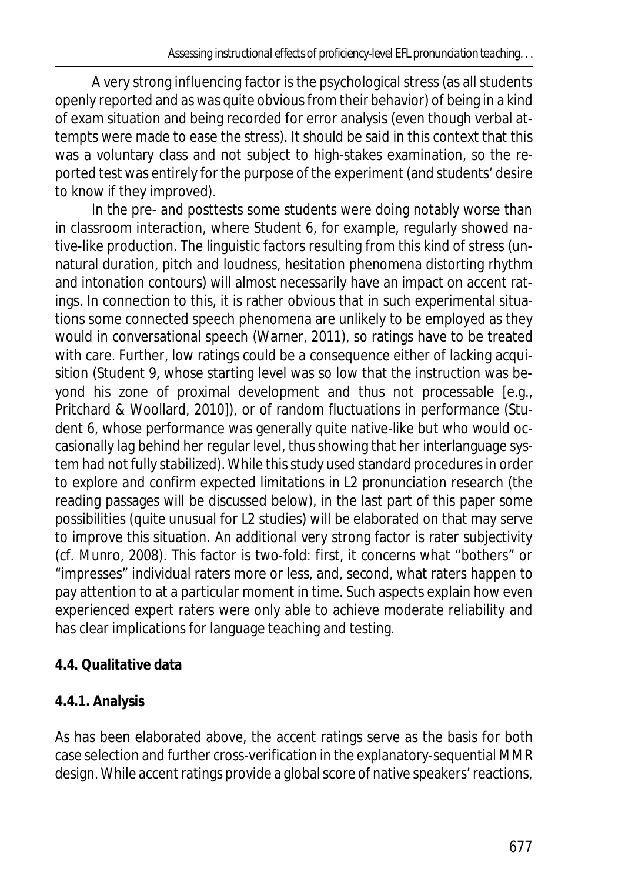A very strong influencing factor is the psychological stress (as all students openly reported and as was quite obvious from their behavior) of being in a kind of exam situation and being recorded for error analysis (even though verbal attempts were made to ease the stress). It should be said in this context that this was a voluntary class and not subject to high-stakes examination, so the reported test was entirely for the purpose of the experiment (and students' desire to know if they improved).

In the pre- and posttests some students were doing notably worse than in classroom interaction, where Student 6, for example, regularly showed native-like production. The linguistic factors resulting from this kind of stress (unnatural duration, pitch and loudness, hesitation phenomena distorting rhythm and intonation contours) will almost necessarily have an impact on accent ratings. In connection to this, it is rather obvious that in such experimental situations some connected speech phenomena are unlikely to be employed as they would in conversational speech (Warner, 2011), so ratings have to be treated with care. Further, low ratings could be a consequence either of lacking acquisition (Student 9, whose starting level was so low that the instruction was beyond his zone of proximal development and thus not processable [e.g., Pritchard & Woollard, 2010]), or of random fluctuations in performance (Student 6, whose performance was generally quite native-like but who would occasionally lag behind her regular level, thus showing that her interlanguage system had not fully stabilized). While this study used standard procedures in order to explore and confirm expected limitations in L2 pronunciation research (the reading passages will be discussed below), in the last part of this paper some possibilities (quite unusual for L2 studies) will be elaborated on that may serve to improve this situation. An additional very strong factor is rater subjectivity (cf. Munro, 2008). This factor is two-fold: first, it concerns what "bothers" or "impresses" individual raters more or less, and, second, what raters happen to pay attention to at a particular moment in time. Such aspects explain how even experienced expert raters were only able to achieve moderate reliability and has clear implications for language teaching and testing.

# **4.4. Qualitative data**

# **4.4.1. Analysis**

As has been elaborated above, the accent ratings serve as the basis for both case selection and further cross-verification in the explanatory-sequential MMR design. While accent ratings provide a global score of native speakers' reactions,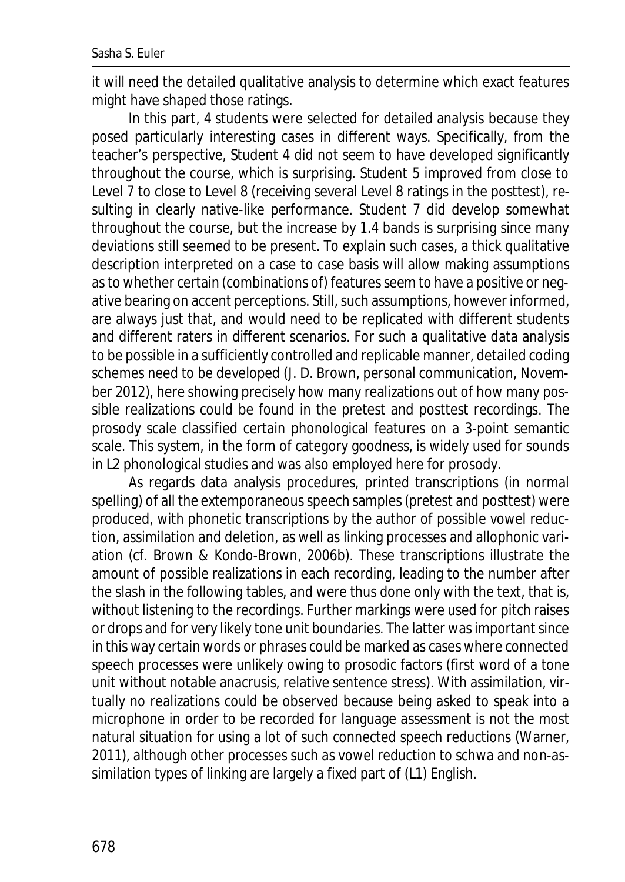it will need the detailed qualitative analysis to determine which exact features might have shaped those ratings.

In this part, 4 students were selected for detailed analysis because they posed particularly interesting cases in different ways. Specifically, from the teacher's perspective, Student 4 did not seem to have developed significantly throughout the course, which is surprising. Student 5 improved from close to Level 7 to close to Level 8 (receiving several Level 8 ratings in the posttest), resulting in clearly native-like performance. Student 7 did develop somewhat throughout the course, but the increase by 1.4 bands is surprising since many deviations still seemed to be present. To explain such cases, a thick qualitative description interpreted on a case to case basis will allow making assumptions as to whether certain (combinations of) features seem to have a positive or negative bearing on accent perceptions. Still, such assumptions, however informed, are always just that, and would need to be replicated with different students and different raters in different scenarios. For such a qualitative data analysis to be possible in a sufficiently controlled and replicable manner, detailed coding schemes need to be developed (J. D. Brown, personal communication, November 2012), here showing precisely how many realizations out of how many possible realizations could be found in the pretest and posttest recordings. The prosody scale classified certain phonological features on a 3-point semantic scale. This system, in the form of category goodness, is widely used for sounds in L2 phonological studies and was also employed here for prosody.

As regards data analysis procedures, printed transcriptions (in normal spelling) of all the extemporaneous speech samples (pretest and posttest) were produced, with phonetic transcriptions by the author of possible vowel reduction, assimilation and deletion, as well as linking processes and allophonic variation (cf. Brown & Kondo-Brown, 2006b). These transcriptions illustrate the amount of *possible* realizations in each recording, leading to the number after the slash in the following tables, and were thus done only with the text, that is, without listening to the recordings. Further markings were used for pitch raises or drops and for very likely tone unit boundaries. The latter was important since in this way certain words or phrases could be marked as cases where connected speech processes were unlikely owing to prosodic factors (first word of a tone unit without notable anacrusis, relative sentence stress). With assimilation, virtually no realizations could be observed because being asked to speak into a microphone in order to be recorded for language assessment is not the most natural situation for using a lot of such connected speech reductions (Warner, 2011), although other processes such as vowel reduction to schwa and non-assimilation types of linking are largely a fixed part of (L1) English.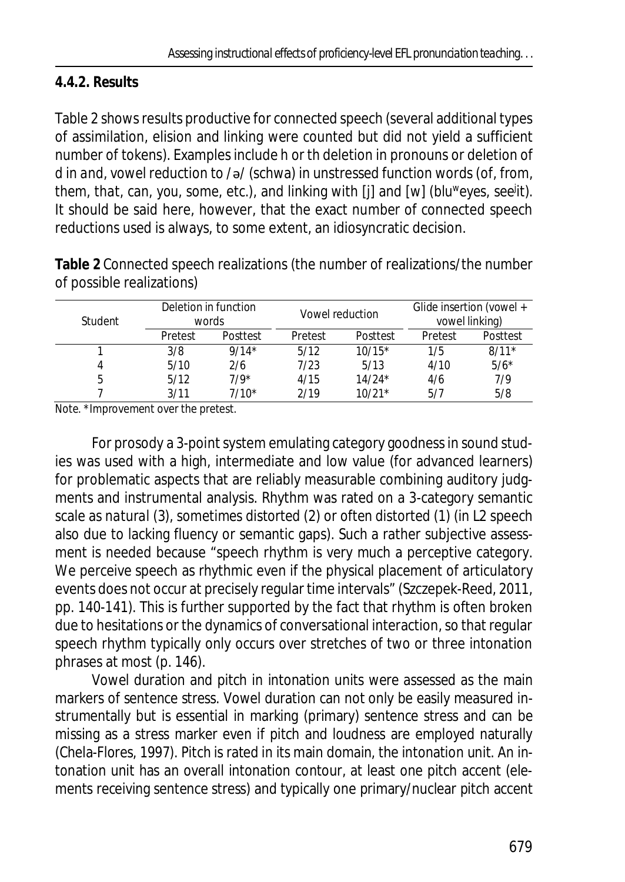# **4.4.2. Results**

Table 2 shows results productive for connected speech (several additional types of assimilation, elision and linking were counted but did not yield a sufficient number of tokens). Examples include *h* or *th* deletion in pronouns or deletion of *d* in *and*, vowel reduction to /ə/ (schwa) in unstressed function words (*of, from, them, that, can, you, some,* etc.), and linking with [j] and [w] (*blu<sup>w</sup>eyes, see<sup>j</sup> it*). It should be said here, however, that the exact *number* of connected speech reductions used is always, to some extent, an idiosyncratic decision.

**Table 2** Connected speech realizations (the number of realizations/the number of possible realizations)

| Student | Deletion in function<br>words |          | Vowel reduction |          | Glide insertion (vowel +<br>vowel linking) |          |
|---------|-------------------------------|----------|-----------------|----------|--------------------------------------------|----------|
|         | Pretest                       | Posttest | Pretest         | Posttest | Pretest                                    | Posttest |
|         | 3/8                           | $9/14*$  | 5/12            | $10/15*$ | 1/5                                        | $8/11*$  |
|         | 5/10                          | 2/6      | 7/23            | 5/13     | 4/10                                       | $5/6*$   |
| 5       | 5/12                          | $7/9*$   | 4/15            | $14/24*$ | 4/6                                        | 7/9      |
|         | 3/11                          | $7/10*$  | 2/19            | $10/21*$ | 5/7                                        | 5/8      |

*Note*. \*Improvement over the pretest.

For prosody a 3-point system emulating category goodness in sound studies was used with a high, intermediate and low value (for advanced learners) for problematic aspects that are reliably measurable combining auditory judgments and instrumental analysis. Rhythm was rated on a 3-category semantic scale as *natural* (3), *sometimes distorted* (2) or *often distorted* (1) (in L2 speech also due to lacking fluency or semantic gaps). Such a rather subjective assessment is needed because "speech rhythm is very much a perceptive category. We perceive speech as rhythmic even if the physical placement of articulatory events does not occur at precisely regular time intervals" (Szczepek-Reed, 2011, pp. 140-141). This is further supported by the fact that rhythm is often broken due to hesitations or the dynamics of conversational interaction, so that regular speech rhythm typically only occurs over stretches of two or three intonation phrases at most (p. 146).

Vowel duration and pitch in intonation units were assessed as the main markers of sentence stress. Vowel duration can not only be easily measured instrumentally but is essential in marking (primary) sentence stress and can be missing as a stress marker even if pitch and loudness are employed naturally (Chela-Flores, 1997). Pitch is rated in its main domain, the intonation unit. An intonation unit has an overall intonation contour, at least one pitch accent (elements receiving sentence stress) and typically one primary/nuclear pitch accent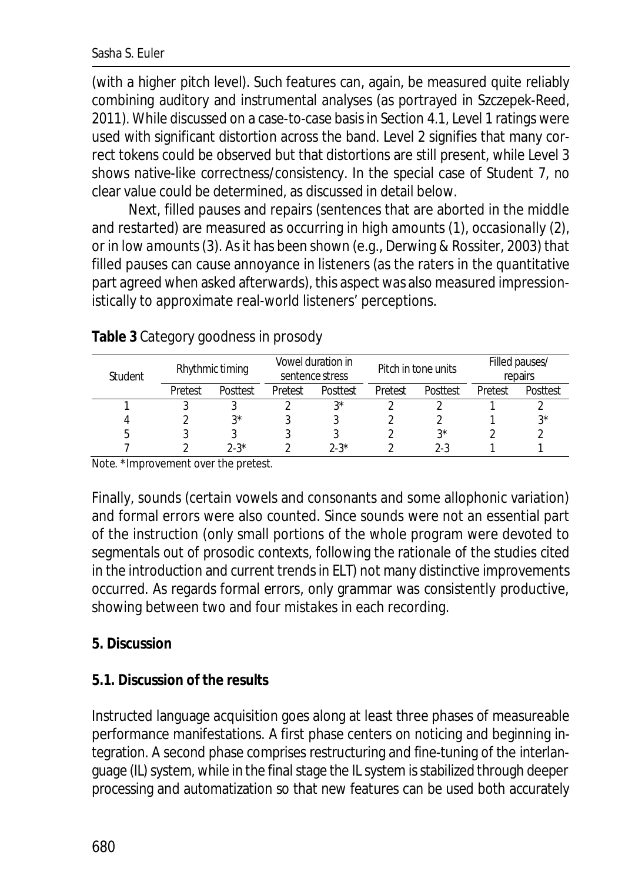(with a higher pitch level). Such features can, again, be measured quite reliably combining auditory and instrumental analyses (as portrayed in Szczepek-Reed, 2011). While discussed on a case-to-case basis in Section 4.1, Level 1 ratings were used with significant distortion across the band. Level 2 signifies that many correct tokens could be observed but that distortions are still present, while Level 3 shows native-like correctness/consistency. In the special case of Student 7, no clear value could be determined, as discussed in detail below.

Next, filled pauses and repairs (sentences that are aborted in the middle and restarted) are measured as occurring in *high amounts* (1), *occasionally* (2), or in *low amounts*(3). As it has been shown (e.g., Derwing & Rossiter, 2003) that filled pauses can cause annoyance in listeners (as the raters in the quantitative part agreed when asked afterwards), this aspect was also measured impressionistically to approximate real-world listeners' perceptions.

| Rhythmic timing<br><b>Student</b> |         |          | Vowel duration in<br>sentence stress |          | Pitch in tone units |             | Filled pauses/<br>repairs |          |
|-----------------------------------|---------|----------|--------------------------------------|----------|---------------------|-------------|---------------------------|----------|
|                                   | Pretest | Posttest | Pretest                              | Posttest | Pretest             | Posttest    | Pretest                   | Posttest |
|                                   |         |          |                                      | ?∗       |                     |             |                           |          |
|                                   |         | 3*       |                                      |          |                     |             |                           | ?∗       |
|                                   |         |          |                                      |          |                     | $3^{\star}$ |                           |          |
|                                   |         | $2 - 3*$ |                                      | $2-3*$   |                     | 2-3         |                           |          |

### **Table 3** Category goodness in prosody

*Note*. \*Improvement over the pretest.

Finally, sounds (certain vowels and consonants and some allophonic variation) and formal errors were also counted. Since sounds were not an essential part of the instruction (only small portions of the whole program were devoted to segmentals out of prosodic contexts, following the rationale of the studies cited in the introduction and current trends in ELT) not many distinctive improvements occurred. As regards formal errors, only grammar was consistently productive, showing between two and four mistakes in each recording.

### **5. Discussion**

### **5.1. Discussion of the results**

Instructed language acquisition goes along at least three phases of measureable performance manifestations. A first phase centers on noticing and beginning integration. A second phase comprises restructuring and fine-tuning of the interlanguage (IL) system, while in the final stage the IL system is stabilized through deeper processing and automatization so that new features can be used both accurately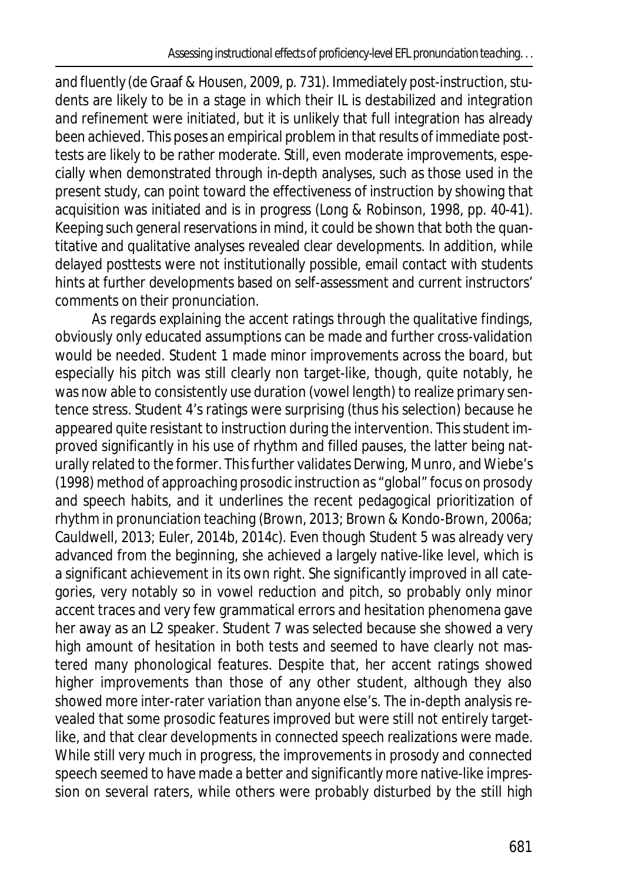and fluently (de Graaf & Housen, 2009, p. 731). Immediately post-instruction, students are likely to be in a stage in which their IL is destabilized and integration and refinement were initiated, but it is unlikely that full integration has already been achieved. This poses an empirical problem in that results of immediate posttests are likely to be rather moderate. Still, even moderate improvements, especially when demonstrated through in-depth analyses, such as those used in the present study, can point toward the effectiveness of instruction by showing that acquisition was initiated and is in progress (Long & Robinson, 1998, pp. 40-41). Keeping such general reservations in mind, it could be shown that both the quantitative and qualitative analyses revealed clear developments. In addition, while delayed posttests were not institutionally possible, email contact with students hints at further developments based on self-assessment and current instructors' comments on their pronunciation.

As regards explaining the accent ratings through the qualitative findings, obviously only educated assumptions can be made and further cross-validation would be needed. Student 1 made minor improvements across the board, but especially his pitch was still clearly non target-like, though, quite notably, he was now able to consistently use duration (vowel length) to realize primary sentence stress. Student 4's ratings were surprising (thus his selection) because he appeared quite resistant to instruction during the intervention. This student improved significantly in his use of rhythm and filled pauses, the latter being naturally related to the former. This further validates Derwing, Munro, and Wiebe's (1998) method of approaching prosodic instruction as "global" focus on prosody and speech habits, and it underlines the recent pedagogical prioritization of rhythm in pronunciation teaching (Brown, 2013; Brown & Kondo-Brown, 2006a; Cauldwell, 2013; Euler, 2014b, 2014c). Even though Student 5 was already very advanced from the beginning, she achieved a largely native-like level, which is a significant achievement in its own right. She significantly improved in all categories, very notably so in vowel reduction and pitch, so probably only minor accent traces and very few grammatical errors and hesitation phenomena gave her away as an L2 speaker. Student 7 was selected because she showed a very high amount of hesitation in both tests and seemed to have clearly not mastered many phonological features. Despite that, her accent ratings showed higher improvements than those of any other student, although they also showed more inter-rater variation than anyone else's. The in-depth analysis revealed that some prosodic features improved but were still not entirely targetlike, and that clear developments in connected speech realizations were made. While still very much in progress, the improvements in prosody and connected speech seemed to have made a better and significantly more native-like impression on several raters, while others were probably disturbed by the still high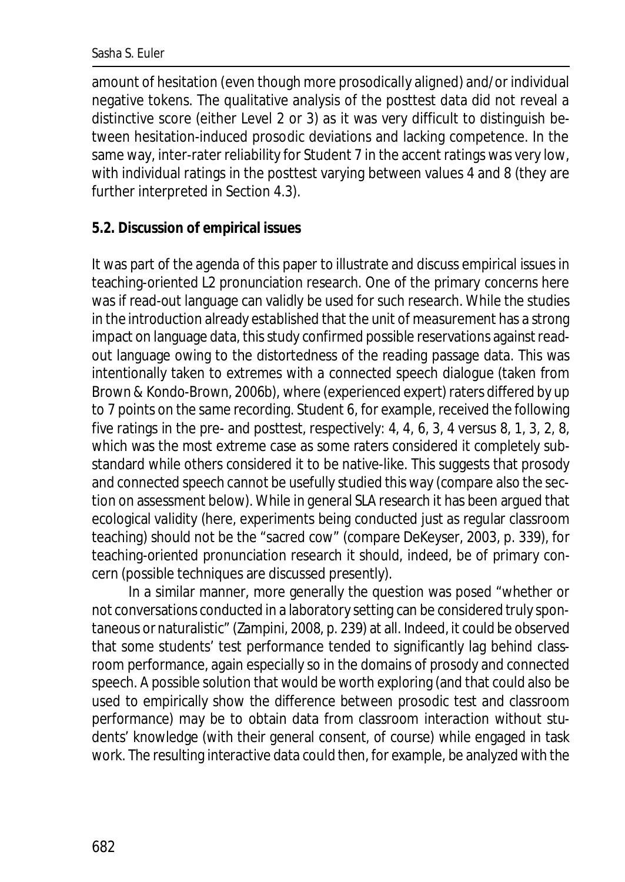#### Sasha S. Euler

amount of hesitation (even though more prosodically aligned) and/or individual negative tokens. The qualitative analysis of the posttest data did not reveal a distinctive score (either Level 2 or 3) as it was very difficult to distinguish between hesitation-induced prosodic deviations and lacking competence. In the same way, inter-rater reliability for Student 7 in the accent ratings was very low, with individual ratings in the posttest varying between values 4 and 8 (they are further interpreted in Section 4.3).

### **5.2. Discussion of empirical issues**

It was part of the agenda of this paper to illustrate and discuss empirical issues in teaching-oriented L2 pronunciation research. One of the primary concerns here was if read-out language can validly be used for such research. While the studies in the introduction already established that the unit of measurement has a strong impact on language data, this study confirmed possible reservations against readout language owing to the distortedness of the reading passage data. This was intentionally taken to extremes with a connected speech dialogue (taken from Brown & Kondo-Brown, 2006b), where (experienced expert) raters differed by up to 7 points on the same recording. Student 6, for example, received the following five ratings in the pre- and posttest, respectively: 4, 4, 6, 3, 4 versus 8, 1, 3, 2, 8, which was the most extreme case as some raters considered it completely substandard while others considered it to be native-like. This suggests that prosody and connected speech cannot be usefully studied this way (compare also the section on assessment below). While in general SLA research it has been argued that ecological validity (here, experiments being conducted just as regular classroom teaching) should not be the "sacred cow" (compare DeKeyser, 2003, p. 339), for teaching-oriented pronunciation research it should, indeed, be of primary concern (possible techniques are discussed presently).

In a similar manner, more generally the question was posed "whether or not conversations conducted in a laboratory setting can be considered truly spontaneous or naturalistic" (Zampini, 2008, p. 239) at all. Indeed, it could be observed that some students' test performance tended to significantly lag behind classroom performance, again especially so in the domains of prosody and connected speech. A possible solution that would be worth exploring (and that could also be used to empirically show the difference between prosodic test and classroom performance) may be to obtain data from classroom interaction without students' knowledge (with their general consent, of course) while engaged in task work. The resulting interactive data could then, for example, be analyzed with the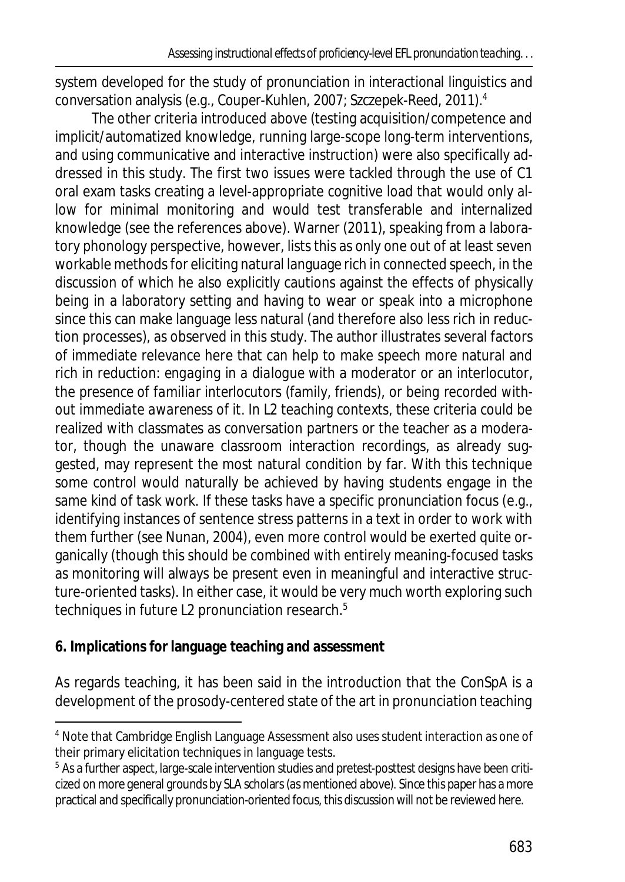system developed for the study of pronunciation in interactional linguistics and conversation analysis (e.g., Couper-Kuhlen, 2007; Szczepek-Reed, 2011).<sup>4</sup>

The other criteria introduced above (testing acquisition/competence and implicit/automatized knowledge, running large-scope long-term interventions, and using communicative and interactive instruction) were also specifically addressed in this study. The first two issues were tackled through the use of C1 oral exam tasks creating a level-appropriate cognitive load that would only allow for minimal monitoring and would test transferable and internalized knowledge (see the references above). Warner (2011), speaking from a laboratory phonology perspective, however, lists this as only one out of at least seven workable methods for eliciting natural language rich in connected speech, in the discussion of which he also explicitly cautions against the effects of physically being in a laboratory setting and having to wear or speak into a microphone since this can make language less natural (and therefore also less rich in reduction processes), as observed in this study. The author illustrates several factors of immediate relevance here that can help to make speech more natural and rich in reduction: *engaging in a dialogue* with a moderator or an interlocutor, the *presence of familiar interlocutors* (family, friends), or *being recorded without immediate awareness* of it. In L2 teaching contexts, these criteria could be realized with classmates as conversation partners or the teacher as a moderator, though the unaware classroom interaction recordings, as already suggested, may represent the most natural condition by far. With this technique some control would naturally be achieved by having students engage in the same kind of task work. If these tasks have a specific pronunciation focus (e.g., identifying instances of sentence stress patterns in a text in order to work with them further (see Nunan, 2004), even more control would be exerted quite organically (though this should be combined with entirely meaning-focused tasks as monitoring will always be present even in meaningful and interactive structure-oriented tasks). In either case, it would be very much worth exploring such techniques in future L2 pronunciation research.<sup>5</sup>

### **6. Implications for language teaching and assessment**

As regards teaching, it has been said in the introduction that the ConSpA is a development of the prosody-centered state of the art in pronunciation teaching

<sup>&</sup>lt;sup>4</sup> Note that Cambridge English Language Assessment also uses student interaction as one of their primary elicitation techniques in language tests.

 $^{\rm 5}$  As a further aspect, large-scale intervention studies and pretest-posttest designs have been criticized on more general grounds by SLA scholars (as mentioned above). Since this paper has a more practical and specifically pronunciation-oriented focus, this discussion will not be reviewed here.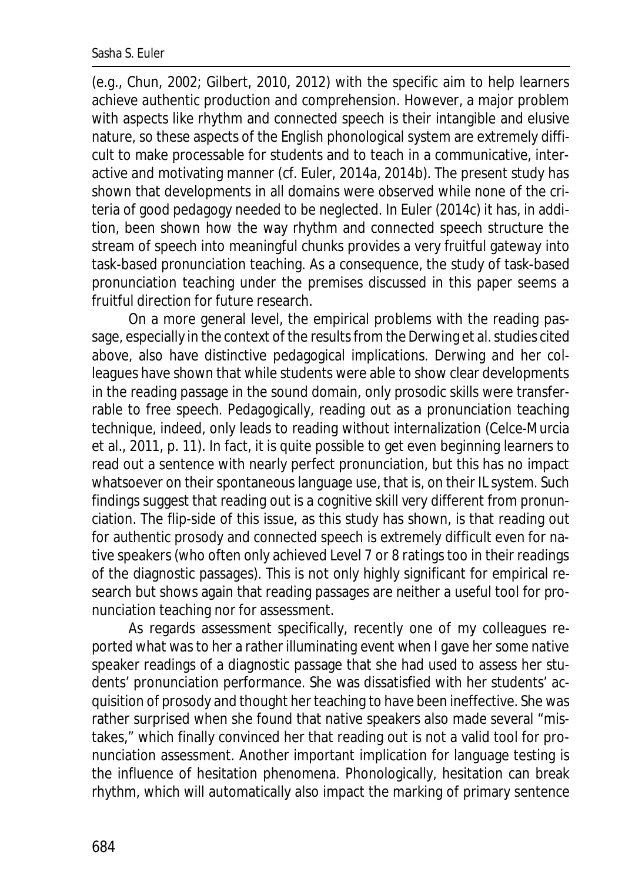(e.g., Chun, 2002; Gilbert, 2010, 2012) with the specific aim to help learners achieve authentic production and comprehension. However, a major problem with aspects like rhythm and connected speech is their intangible and elusive nature, so these aspects of the English phonological system are extremely difficult to make processable for students and to teach in a communicative, interactive and motivating manner (cf. Euler, 2014a, 2014b). The present study has shown that developments in all domains were observed while none of the criteria of good pedagogy needed to be neglected. In Euler (2014c) it has, in addition, been shown how the way rhythm and connected speech structure the stream of speech into meaningful chunks provides a very fruitful gateway into task-based pronunciation teaching. As a consequence, the study of task-based pronunciation teaching under the premises discussed in this paper seems a fruitful direction for future research.

On a more general level, the empirical problems with the reading passage, especially in the context of the results from the Derwing et al. studies cited above, also have distinctive pedagogical implications. Derwing and her colleagues have shown that while students were able to show clear developments in the reading passage in the sound domain, only prosodic skills were transferrable to free speech. Pedagogically, reading out as a pronunciation teaching technique, indeed, only leads to reading without internalization (Celce-Murcia et al., 2011, p. 11). In fact, it is quite possible to get even beginning learners to read out a sentence with nearly perfect pronunciation, but this has no impact whatsoever on their spontaneous language use, that is, on their IL system. Such findings suggest that reading out is a cognitive skill very different from pronunciation. The flip-side of this issue, as this study has shown, is that reading out for authentic prosody and connected speech is extremely difficult even for native speakers (who often only achieved Level 7 or 8 ratings too in their readings of the diagnostic passages). This is not only highly significant for empirical research but shows again that reading passages are neither a useful tool for pronunciation teaching nor for assessment.

As regards assessment specifically, recently one of my colleagues reported what was to her a rather illuminating event when I gave her some native speaker readings of a diagnostic passage that she had used to assess her students' pronunciation performance. She was dissatisfied with her students' acquisition of prosody and thought her teaching to have been ineffective. She was rather surprised when she found that native speakers also made several "mistakes," which finally convinced her that reading out is not a valid tool for pronunciation assessment. Another important implication for language testing is the influence of hesitation phenomena. Phonologically, hesitation can break rhythm, which will automatically also impact the marking of primary sentence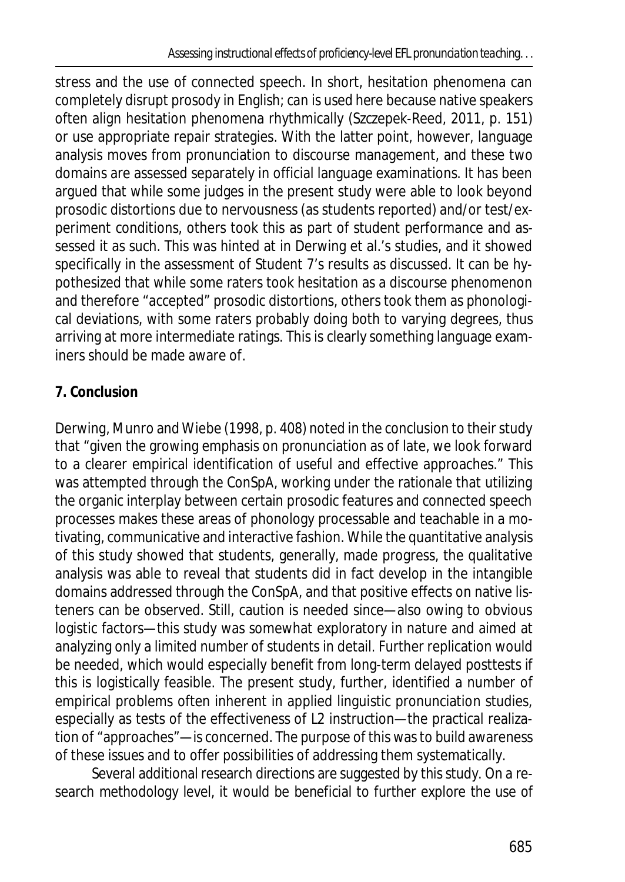stress and the use of connected speech. In short, hesitation phenomena can completely disrupt prosody in English; *can* is used here because native speakers often align hesitation phenomena rhythmically (Szczepek-Reed, 2011, p. 151) or use appropriate repair strategies. With the latter point, however, language analysis moves from pronunciation to discourse management, and these two domains are assessed separately in official language examinations. It has been argued that while some judges in the present study were able to look beyond prosodic distortions due to nervousness (as students reported) and/or test/experiment conditions, others took this as part of student performance and assessed it as such. This was hinted at in Derwing et al.'s studies, and it showed specifically in the assessment of Student 7's results as discussed. It can be hypothesized that while some raters took hesitation as a discourse phenomenon and therefore "accepted" prosodic distortions, others took them as phonological deviations, with some raters probably doing both to varying degrees, thus arriving at more intermediate ratings. This is clearly something language examiners should be made aware of.

# **7. Conclusion**

Derwing, Munro and Wiebe (1998, p. 408) noted in the conclusion to their study that "given the growing emphasis on pronunciation as of late, we look forward to a clearer empirical identification of useful and effective approaches." This was attempted through the ConSpA, working under the rationale that utilizing the organic interplay between certain prosodic features and connected speech processes makes these areas of phonology processable and teachable in a motivating, communicative and interactive fashion. While the quantitative analysis of this study showed that students, generally, made progress, the qualitative analysis was able to reveal that students did in fact develop in the intangible domains addressed through the ConSpA, and that positive effects on native listeners can be observed. Still, caution is needed since—also owing to obvious logistic factors—this study was somewhat exploratory in nature and aimed at analyzing only a limited number of students in detail. Further replication would be needed, which would especially benefit from long-term delayed posttests if this is logistically feasible. The present study, further, identified a number of empirical problems often inherent in applied linguistic pronunciation studies, especially as tests of the effectiveness of L2 instruction—the practical realization of "approaches"—is concerned. The purpose of this was to build awareness of these issues and to offer possibilities of addressing them systematically.

Several additional research directions are suggested by this study. On a research methodology level, it would be beneficial to further explore the use of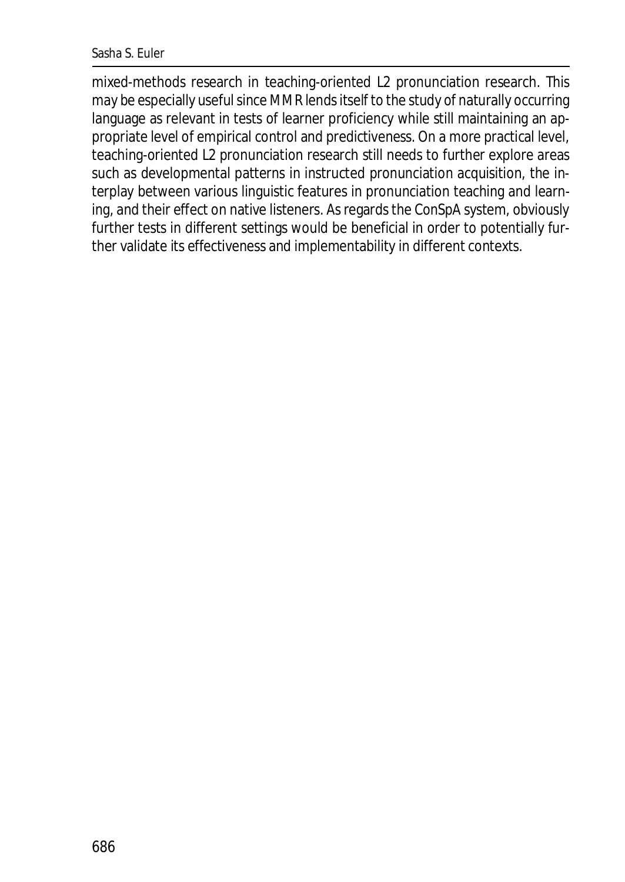#### Sasha S. Euler

mixed-methods research in teaching-oriented L2 pronunciation research. This may be especially useful since MMR lends itself to the study of naturally occurring language as relevant in tests of learner proficiency while still maintaining an appropriate level of empirical control and predictiveness. On a more practical level, teaching-oriented L2 pronunciation research still needs to further explore areas such as developmental patterns in instructed pronunciation acquisition, the interplay between various linguistic features in pronunciation teaching and learning, and their effect on native listeners. As regards the ConSpA system, obviously further tests in different settings would be beneficial in order to potentially further validate its effectiveness and implementability in different contexts.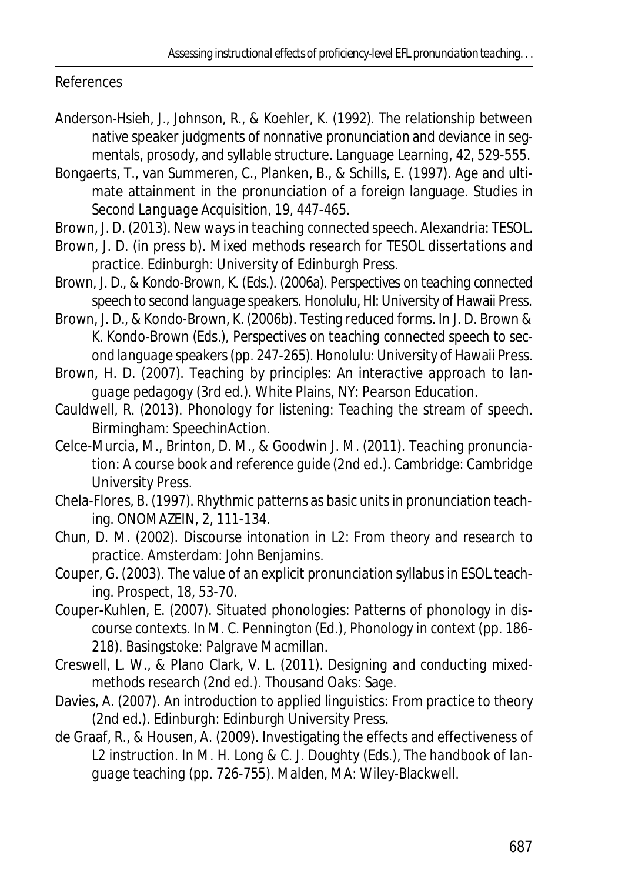References

- Anderson-Hsieh, J., Johnson, R., & Koehler, K. (1992). The relationship between native speaker judgments of nonnative pronunciation and deviance in segmentals, prosody, and syllable structure. *Language Learning*, *42*, 529-555.
- Bongaerts, T., van Summeren, C., Planken, B., & Schills, E. (1997). Age and ultimate attainment in the pronunciation of a foreign language. *Studies in Second Language Acquisition, 19*, 447-465.
- Brown, J. D. (2013). *New ways in teaching connected speech*. Alexandria: TESOL.
- Brown, J. D. (in press b). *Mixed methods research for TESOL dissertations and practice.* Edinburgh: University of Edinburgh Press.
- Brown, J. D., & Kondo-Brown, K. (Eds.). (2006a). *Perspectives on teaching connected speech to second language speakers.* Honolulu, HI: University of Hawaii Press.
- Brown, J. D., & Kondo-Brown, K. (2006b). Testing reduced forms. In J. D. Brown & K. Kondo-Brown (Eds.), *Perspectives on teaching connected speech to second language speakers*(pp. 247-265)*.* Honolulu: University of Hawaii Press.
- Brown, H. D. (2007). *Teaching by principles: An interactive approach to language pedagogy* (3rd ed.). White Plains, NY: Pearson Education.
- Cauldwell, R. (2013). *Phonology for listening: Teaching the stream of speech*. Birmingham: SpeechinAction.
- Celce-Murcia, M., Brinton, D. M., & Goodwin J. M. (2011). *Teaching pronunciation: A course book and reference guide* (2nd ed.). Cambridge: Cambridge University Press.
- Chela-Flores, B. (1997). Rhythmic patterns as basic units in pronunciation teaching. *ONOMAZEIN*, *2*, 111-134.
- Chun, D. M. (2002). *Discourse intonation in L2: From theory and research to practice*. Amsterdam: John Benjamins.
- Couper, G. (2003). The value of an explicit pronunciation syllabus in ESOL teaching. *Prospect, 18*, 53-70.
- Couper-Kuhlen, E. (2007). Situated phonologies: Patterns of phonology in discourse contexts. In M. C. Pennington (Ed.), *Phonology in context* (pp. 186- 218). Basingstoke: Palgrave Macmillan.
- Creswell, L. W., & Plano Clark, V. L. (2011). *Designing and conducting mixedmethods research* (2nd ed.). Thousand Oaks: Sage.
- Davies, A. (2007). *An introduction to applied linguistics: From practice to theory* (2nd ed.). Edinburgh: Edinburgh University Press.
- de Graaf, R., & Housen, A. (2009). Investigating the effects and effectiveness of L2 instruction. In M. H. Long & C. J. Doughty (Eds.), *The handbook of language teaching* (pp. 726-755). Malden, MA: Wiley-Blackwell.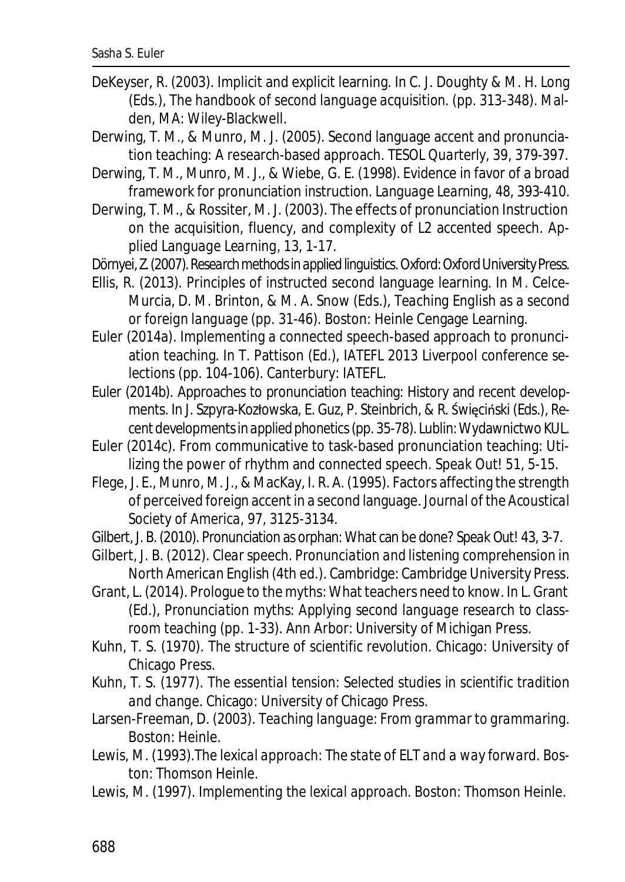- DeKeyser, R. (2003). Implicit and explicit learning. In C. J. Doughty & M. H. Long (Eds.), *The handbook of second language acquisition*. (pp. 313-348). Malden, MA: Wiley-Blackwell.
- Derwing, T. M., & Munro, M. J. (2005). Second language accent and pronunciation teaching: A research-based approach. *TESOL Quarterly, 39*, 379-397.
- Derwing, T. M., Munro, M. J., & Wiebe, G. E. (1998). Evidence in favor of a broad framework for pronunciation instruction. *Language Learning, 48*, 393-410.
- Derwing, T. M., & Rossiter, M. J. (2003). The effects of pronunciation Instruction on the acquisition, fluency, and complexity of L2 accented speech. *Applied Language Learning, 13*, 1-17.
- Dörnyei, Z. (2007).*Research methods in applied linguistics*. Oxford: Oxford University Press.
- Ellis, R. (2013). Principles of instructed second language learning. In M. Celce-Murcia, D. M. Brinton, & M. A. Snow (Eds.), *Teaching English as a second or foreign language* (pp. 31-46). Boston: Heinle Cengage Learning.
- Euler (2014a). Implementing a connected speech-based approach to pronunciation teaching. In T. Pattison (Ed.), *IATEFL 2013 Liverpool conference selections* (pp. 104-106). Canterbury: IATEFL.
- Euler (2014b). Approaches to pronunciation teaching: History and recent developments. In J. Szpyra-Kozłowska, E. Guz, P. Steinbrich, & R. Święciński (Eds.), *Recent developments in applied phonetics* (pp. 35-78). Lublin: Wydawnictwo KUL.
- Euler (2014c). From communicative to task-based pronunciation teaching: Utilizing the power of rhythm and connected speech. *Speak Out! 51*, 5-15.
- Flege, J. E., Munro, M. J., & MacKay, I. R. A. (1995). Factors affecting the strength of perceived foreign accent in a second language. *Journal of the Acoustical Society of America*, *97*, 3125-3134.
- Gilbert, J. B. (2010). Pronunciation as orphan: What can be done? *Speak Out! 43*, 3-7.
- Gilbert, J. B. (2012). *Clear speech. Pronunciation and listening comprehension in North American English* (4th ed.). Cambridge: Cambridge University Press.
- Grant, L. (2014). Prologue to the myths: What teachers need to know. In L. Grant (Ed.), *Pronunciation myths: Applying second language research to classroom teaching* (pp. 1-33). Ann Arbor: University of Michigan Press.
- Kuhn, T. S. (1970). *The structure of scientific revolution*. Chicago: University of Chicago Press.
- Kuhn, T. S. (1977). *The essential tension: Selected studies in scientific tradition and change*. Chicago: University of Chicago Press.
- Larsen-Freeman, D. (2003). *Teaching language: From grammar to grammaring*. Boston: Heinle.
- Lewis, M. (1993).*The lexical approach: The state of ELT and a way forward*. Boston: Thomson Heinle.
- Lewis, M. (1997). *Implementing the lexical approach*. Boston: Thomson Heinle.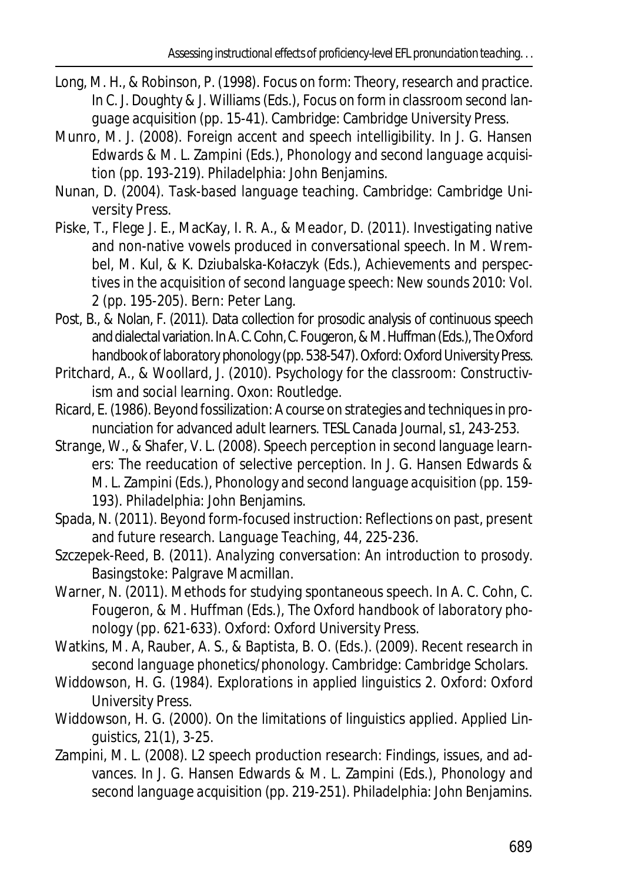- Long, M. H., & Robinson, P. (1998). Focus on form: Theory, research and practice. In C. J. Doughty & J. Williams (Eds.), *Focus on form in classroom second language acquisition* (pp. 15-41). Cambridge: Cambridge University Press.
- Munro, M. J. (2008). Foreign accent and speech intelligibility. In J. G. Hansen Edwards & M. L. Zampini (Eds.), *Phonology and second language acquisition* (pp. 193-219). Philadelphia: John Benjamins.
- Nunan, D. (2004). *Task-based language teaching*. Cambridge: Cambridge University Press.
- Piske, T., Flege J. E., MacKay, I. R. A., & Meador, D. (2011). Investigating native and non-native vowels produced in conversational speech. In M. Wrembel, M. Kul, & K. Dziubalska-Kołaczyk (Eds.), *Achievements and perspectives in the acquisition of second language speech: New sounds 2010: Vol. 2* (pp. 195-205)*.* Bern: Peter Lang.
- Post, B., & Nolan, F. (2011). Data collection for prosodic analysis of continuous speech and dialectal variation. In A. C. Cohn, C. Fougeron, & M. Huffman (Eds.),*The Oxford handbook of laboratory phonology*(pp. 538-547). Oxford: Oxford University Press.
- Pritchard, A., & Woollard, J. (2010). *Psychology for the classroom: Constructivism and social learning*. Oxon: Routledge.
- Ricard, E. (1986). Beyond fossilization: A course on strategies and techniques in pronunciation for advanced adult learners. *TESL Canada Journal,*s1, 243-253.
- Strange, W., & Shafer, V. L. (2008). Speech perception in second language learners: The reeducation of selective perception. In J. G. Hansen Edwards & M. L. Zampini (Eds.), *Phonology and second language acquisition* (pp. 159- 193)*.* Philadelphia: John Benjamins.
- Spada, N. (2011). Beyond form-focused instruction: Reflections on past, present and future research. *Language Teaching, 44*, 225-236.
- Szczepek-Reed, B. (2011). *Analyzing conversation: An introduction to prosody*. Basingstoke: Palgrave Macmillan.
- Warner, N. (2011). Methods for studying spontaneous speech. In A. C. Cohn, C. Fougeron, & M. Huffman (Eds.), *The Oxford handbook of laboratory phonology* (pp. 621-633). Oxford: Oxford University Press.
- Watkins, M. A, Rauber, A. S., & Baptista, B. O. (Eds.). (2009). *Recent research in second language phonetics/phonology*. Cambridge: Cambridge Scholars.
- Widdowson, H. G. (1984). *Explorations in applied linguistics 2*. Oxford: Oxford University Press.
- Widdowson, H. G. (2000). On the limitations of linguistics applied. *Applied Linguistics, 21*(1), 3-25.
- Zampini, M. L. (2008). L2 speech production research: Findings, issues, and advances. In J. G. Hansen Edwards & M. L. Zampini (Eds.), *Phonology and second language acquisition* (pp. 219-251). Philadelphia: John Benjamins.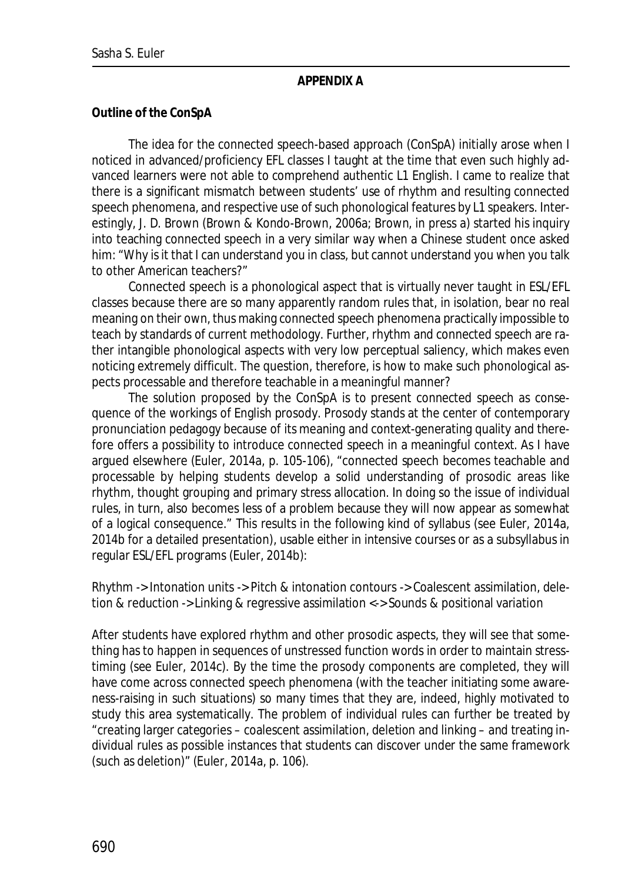#### **APPENDIX A**

**Outline of the ConSpA**

The idea for the connected speech-based approach (ConSpA) initially arose when I noticed in advanced/proficiency EFL classes I taught at the time that even such highly advanced learners were not able to comprehend authentic L1 English. I came to realize that there is a significant mismatch between students' use of rhythm and resulting connected speech phenomena, and respective use of such phonological features by L1 speakers. Interestingly, J. D. Brown (Brown & Kondo-Brown, 2006a; Brown, in press a) started his inquiry into teaching connected speech in a very similar way when a Chinese student once asked him: "Why is it that I can understand you in class, but cannot understand you when you talk to other American teachers?"

Connected speech is a phonological aspect that is virtually never taught in ESL/EFL classes because there are so many apparently random rules that, in isolation, bear no real meaning on their own, thus making connected speech phenomena practically impossible to teach by standards of current methodology. Further, rhythm and connected speech are rather intangible phonological aspects with very low perceptual saliency, which makes even noticing extremely difficult. The question, therefore, is how to make such phonological aspects processable and therefore teachable in a meaningful manner?

The solution proposed by the ConSpA is to present connected speech as consequence of the workings of English prosody. Prosody stands at the center of contemporary pronunciation pedagogy because of its meaning and context-generating quality and therefore offers a possibility to introduce connected speech in a meaningful context. As I have argued elsewhere (Euler, 2014a, p. 105-106), "connected speech becomes teachable and processable by helping students develop a solid understanding of prosodic areas like rhythm, thought grouping and primary stress allocation. In doing so the issue of individual rules, in turn, also becomes less of a problem because they will now appear as somewhat of a logical consequence." This results in the following kind of syllabus (see Euler, 2014a, 2014b for a detailed presentation), usable either in intensive courses or as a subsyllabus in regular ESL/EFL programs (Euler, 2014b):

Rhythm -> Intonation units -> Pitch & intonation contours -> Coalescent assimilation, deletion & reduction -> Linking & regressive assimilation <-> Sounds & positional variation

After students have explored rhythm and other prosodic aspects, they will see that something has to happen in sequences of unstressed function words in order to maintain stresstiming (see Euler, 2014c). By the time the prosody components are completed, they will have come across connected speech phenomena (with the teacher initiating some awareness-raising in such situations) so many times that they are, indeed, highly motivated to study this area systematically. The problem of individual rules can further be treated by "creating larger categories – coalescent assimilation, deletion and linking – and treating individual rules as possible instances that students can discover under the same framework (such as deletion)" (Euler, 2014a, p. 106).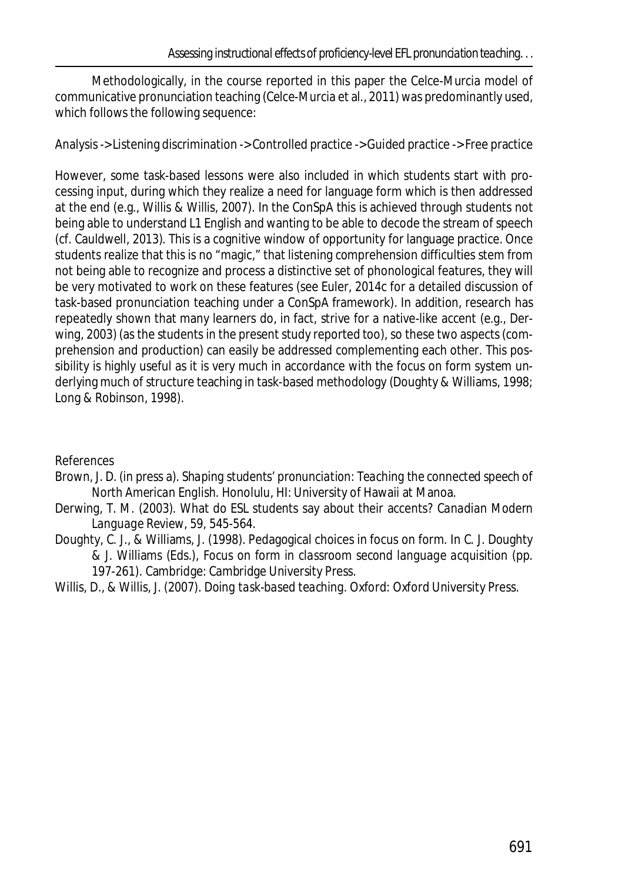Methodologically, in the course reported in this paper the Celce-Murcia model of communicative pronunciation teaching (Celce-Murcia et al., 2011) was predominantly used, which follows the following sequence:

Analysis -> Listening discrimination -> Controlled practice -> Guided practice -> Free practice

However, some task-based lessons were also included in which students start with processing input, during which they realize a need for language form which is then addressed at the end (e.g., Willis & Willis, 2007). In the ConSpA this is achieved through students not being able to understand L1 English and wanting to be able to decode the stream of speech (cf. Cauldwell, 2013). This is a cognitive window of opportunity for language practice. Once students realize that this is no "magic," that listening comprehension difficulties stem from not being able to recognize and process a distinctive set of phonological features, they will be very motivated to work on these features (see Euler, 2014c for a detailed discussion of task-based pronunciation teaching under a ConSpA framework). In addition, research has repeatedly shown that many learners do, in fact, strive for a native-like accent (e.g., Derwing, 2003) (as the students in the present study reported too), so these two aspects (comprehension and production) can easily be addressed complementing each other. This possibility is highly useful as it is very much in accordance with the focus on form system underlying much of structure teaching in task-based methodology (Doughty & Williams, 1998; Long & Robinson, 1998).

References

- Brown, J. D. (in press a). *Shaping students' pronunciation: Teaching the connected speech of North American English*. Honolulu, HI: University of Hawaii at Manoa.
- Derwing, T. M. (2003). What do ESL students say about their accents? *Canadian Modern Language Review*, *59*, 545-564.
- Doughty, C. J., & Williams, J. (1998). Pedagogical choices in focus on form. In C. J. Doughty & J. Williams (Eds.), *Focus on form in classroom second language acquisition* (pp. 197-261). Cambridge: Cambridge University Press.
- Willis, D., & Willis, J. (2007). *Doing task-based teaching*. Oxford: Oxford University Press.